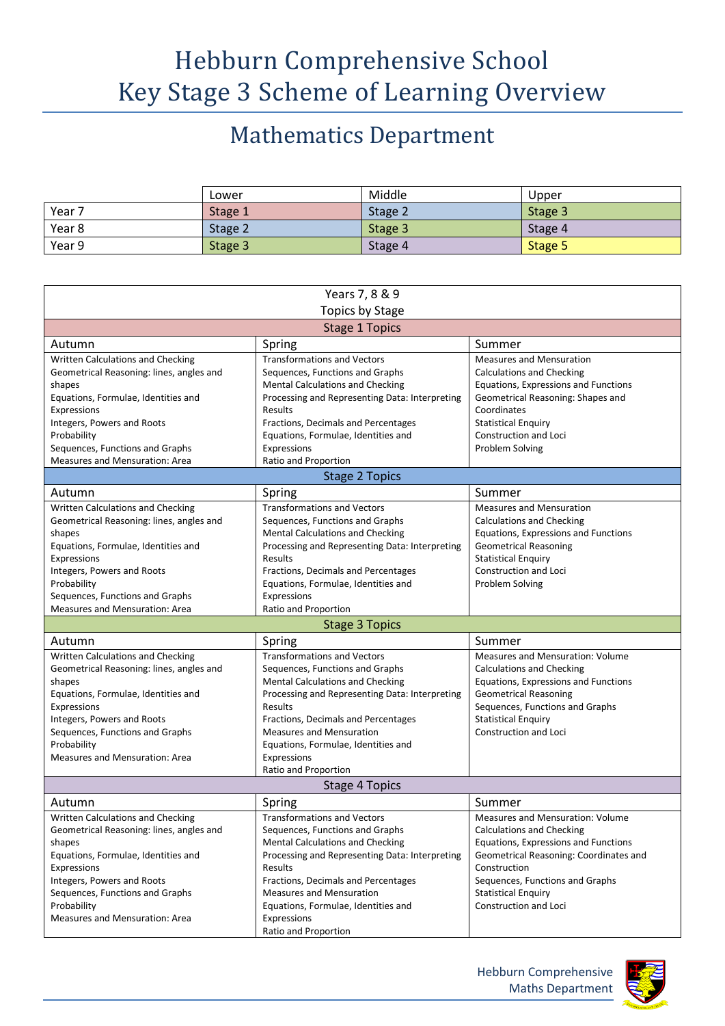## Hebburn Comprehensive School Key Stage 3 Scheme of Learning Overview

## Mathematics Department

|        | Lower   | Middle  | Upper   |
|--------|---------|---------|---------|
| Year 7 | Stage 1 | Stage 2 | Stage 3 |
| Year 8 | Stage 2 | Stage 3 | Stage 4 |
| Year 9 | Stage 3 | Stage 4 | Stage 5 |

| Years 7, 8 & 9                                                |                                                                        |                                                            |  |  |  |
|---------------------------------------------------------------|------------------------------------------------------------------------|------------------------------------------------------------|--|--|--|
| <b>Topics by Stage</b>                                        |                                                                        |                                                            |  |  |  |
| <b>Stage 1 Topics</b>                                         |                                                                        |                                                            |  |  |  |
| Autumn                                                        | Spring                                                                 | Summer                                                     |  |  |  |
| Written Calculations and Checking                             | <b>Transformations and Vectors</b>                                     | <b>Measures and Mensuration</b>                            |  |  |  |
| Geometrical Reasoning: lines, angles and                      | Sequences, Functions and Graphs                                        | <b>Calculations and Checking</b>                           |  |  |  |
| shapes                                                        | Mental Calculations and Checking                                       | Equations, Expressions and Functions                       |  |  |  |
| Equations, Formulae, Identities and                           | Processing and Representing Data: Interpreting                         | Geometrical Reasoning: Shapes and                          |  |  |  |
| Expressions                                                   | Results                                                                | Coordinates                                                |  |  |  |
| Integers, Powers and Roots                                    | Fractions, Decimals and Percentages                                    | <b>Statistical Enquiry</b>                                 |  |  |  |
| Probability                                                   | Equations, Formulae, Identities and                                    | Construction and Loci                                      |  |  |  |
| Sequences, Functions and Graphs                               | Expressions                                                            | Problem Solving                                            |  |  |  |
| Measures and Mensuration: Area                                | Ratio and Proportion                                                   |                                                            |  |  |  |
|                                                               | <b>Stage 2 Topics</b>                                                  |                                                            |  |  |  |
| Autumn                                                        | Spring                                                                 | Summer                                                     |  |  |  |
| Written Calculations and Checking                             | <b>Transformations and Vectors</b>                                     | <b>Measures and Mensuration</b>                            |  |  |  |
| Geometrical Reasoning: lines, angles and                      | Sequences, Functions and Graphs                                        | <b>Calculations and Checking</b>                           |  |  |  |
| shapes                                                        | <b>Mental Calculations and Checking</b>                                | Equations, Expressions and Functions                       |  |  |  |
| Equations, Formulae, Identities and                           | Processing and Representing Data: Interpreting                         | <b>Geometrical Reasoning</b>                               |  |  |  |
| Expressions                                                   | Results                                                                | <b>Statistical Enquiry</b>                                 |  |  |  |
| Integers, Powers and Roots                                    | Fractions, Decimals and Percentages                                    | <b>Construction and Loci</b>                               |  |  |  |
| Probability                                                   | Equations, Formulae, Identities and                                    | Problem Solving                                            |  |  |  |
| Sequences, Functions and Graphs                               | Expressions                                                            |                                                            |  |  |  |
| Measures and Mensuration: Area                                | Ratio and Proportion                                                   |                                                            |  |  |  |
|                                                               | <b>Stage 3 Topics</b>                                                  |                                                            |  |  |  |
| Autumn                                                        | Spring                                                                 | Summer                                                     |  |  |  |
| Written Calculations and Checking                             | <b>Transformations and Vectors</b>                                     | Measures and Mensuration: Volume                           |  |  |  |
| Geometrical Reasoning: lines, angles and                      | Sequences, Functions and Graphs                                        | <b>Calculations and Checking</b>                           |  |  |  |
| shapes                                                        | Mental Calculations and Checking                                       | Equations, Expressions and Functions                       |  |  |  |
| Equations, Formulae, Identities and                           | Processing and Representing Data: Interpreting                         | <b>Geometrical Reasoning</b>                               |  |  |  |
| Expressions                                                   | Results                                                                | Sequences, Functions and Graphs                            |  |  |  |
| Integers, Powers and Roots<br>Sequences, Functions and Graphs | Fractions, Decimals and Percentages<br><b>Measures and Mensuration</b> | <b>Statistical Enquiry</b><br><b>Construction and Loci</b> |  |  |  |
| Probability                                                   | Equations, Formulae, Identities and                                    |                                                            |  |  |  |
| <b>Measures and Mensuration: Area</b>                         | Expressions                                                            |                                                            |  |  |  |
|                                                               | Ratio and Proportion                                                   |                                                            |  |  |  |
| <b>Stage 4 Topics</b>                                         |                                                                        |                                                            |  |  |  |
| Autumn                                                        | Spring                                                                 | Summer                                                     |  |  |  |
| Written Calculations and Checking                             | <b>Transformations and Vectors</b>                                     | Measures and Mensuration: Volume                           |  |  |  |
| Geometrical Reasoning: lines, angles and                      | Sequences, Functions and Graphs                                        | <b>Calculations and Checking</b>                           |  |  |  |
| shapes                                                        | <b>Mental Calculations and Checking</b>                                | Equations, Expressions and Functions                       |  |  |  |
| Equations, Formulae, Identities and                           | Processing and Representing Data: Interpreting                         | Geometrical Reasoning: Coordinates and                     |  |  |  |
| Expressions                                                   | Results                                                                | Construction                                               |  |  |  |
| Integers, Powers and Roots                                    | Fractions, Decimals and Percentages                                    | Sequences, Functions and Graphs                            |  |  |  |
| Sequences, Functions and Graphs                               | <b>Measures and Mensuration</b>                                        | <b>Statistical Enquiry</b>                                 |  |  |  |
| Probability                                                   |                                                                        |                                                            |  |  |  |
|                                                               | Equations, Formulae, Identities and                                    | Construction and Loci                                      |  |  |  |
| Measures and Mensuration: Area                                | Expressions                                                            |                                                            |  |  |  |